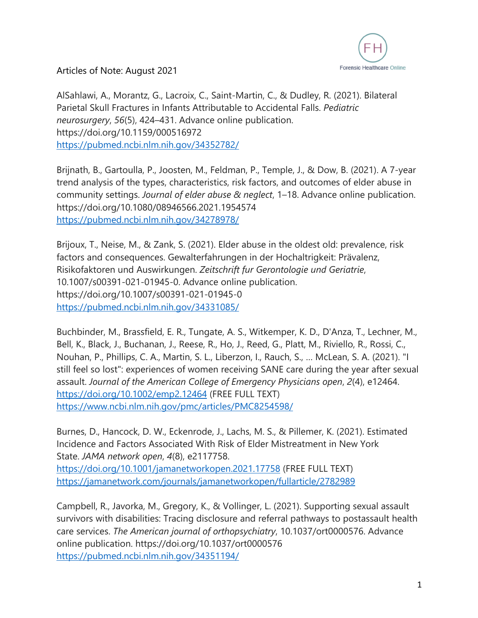

AlSahlawi, A., Morantz, G., Lacroix, C., Saint-Martin, C., & Dudley, R. (2021). Bilateral Parietal Skull Fractures in Infants Attributable to Accidental Falls. *Pediatric neurosurgery*, *56*(5), 424–431. Advance online publication. https://doi.org/10.1159/000516972 https://pubmed.ncbi.nlm.nih.gov/34352782/

Brijnath, B., Gartoulla, P., Joosten, M., Feldman, P., Temple, J., & Dow, B. (2021). A 7-year trend analysis of the types, characteristics, risk factors, and outcomes of elder abuse in community settings. *Journal of elder abuse & neglect*, 1–18. Advance online publication. https://doi.org/10.1080/08946566.2021.1954574 https://pubmed.ncbi.nlm.nih.gov/34278978/

Brijoux, T., Neise, M., & Zank, S. (2021). Elder abuse in the oldest old: prevalence, risk factors and consequences. Gewalterfahrungen in der Hochaltrigkeit: Prävalenz, Risikofaktoren und Auswirkungen. *Zeitschrift fur Gerontologie und Geriatrie*, 10.1007/s00391-021-01945-0. Advance online publication. https://doi.org/10.1007/s00391-021-01945-0 https://pubmed.ncbi.nlm.nih.gov/34331085/

Buchbinder, M., Brassfield, E. R., Tungate, A. S., Witkemper, K. D., D'Anza, T., Lechner, M., Bell, K., Black, J., Buchanan, J., Reese, R., Ho, J., Reed, G., Platt, M., Riviello, R., Rossi, C., Nouhan, P., Phillips, C. A., Martin, S. L., Liberzon, I., Rauch, S., … McLean, S. A. (2021). "I still feel so lost": experiences of women receiving SANE care during the year after sexual assault. *Journal of the American College of Emergency Physicians open*, *2*(4), e12464. https://doi.org/10.1002/emp2.12464 (FREE FULL TEXT) https://www.ncbi.nlm.nih.gov/pmc/articles/PMC8254598/

Burnes, D., Hancock, D. W., Eckenrode, J., Lachs, M. S., & Pillemer, K. (2021). Estimated Incidence and Factors Associated With Risk of Elder Mistreatment in New York State. *JAMA network open*, *4*(8), e2117758. https://doi.org/10.1001/jamanetworkopen.2021.17758 (FREE FULL TEXT) https://jamanetwork.com/journals/jamanetworkopen/fullarticle/2782989

Campbell, R., Javorka, M., Gregory, K., & Vollinger, L. (2021). Supporting sexual assault survivors with disabilities: Tracing disclosure and referral pathways to postassault health care services. *The American journal of orthopsychiatry*, 10.1037/ort0000576. Advance online publication. https://doi.org/10.1037/ort0000576 https://pubmed.ncbi.nlm.nih.gov/34351194/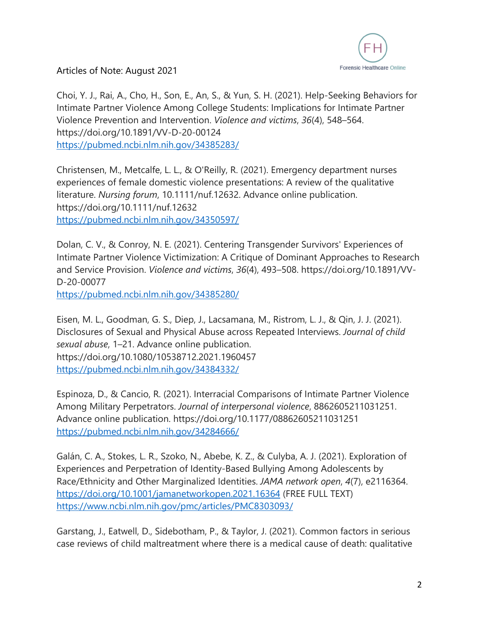

Choi, Y. J., Rai, A., Cho, H., Son, E., An, S., & Yun, S. H. (2021). Help-Seeking Behaviors for Intimate Partner Violence Among College Students: Implications for Intimate Partner Violence Prevention and Intervention. *Violence and victims*, *36*(4), 548–564. https://doi.org/10.1891/VV-D-20-00124 https://pubmed.ncbi.nlm.nih.gov/34385283/

Christensen, M., Metcalfe, L. L., & O'Reilly, R. (2021). Emergency department nurses experiences of female domestic violence presentations: A review of the qualitative literature. *Nursing forum*, 10.1111/nuf.12632. Advance online publication. https://doi.org/10.1111/nuf.12632 https://pubmed.ncbi.nlm.nih.gov/34350597/

Dolan, C. V., & Conroy, N. E. (2021). Centering Transgender Survivors' Experiences of Intimate Partner Violence Victimization: A Critique of Dominant Approaches to Research and Service Provision. *Violence and victims*, *36*(4), 493–508. https://doi.org/10.1891/VV-D-20-00077

https://pubmed.ncbi.nlm.nih.gov/34385280/

Eisen, M. L., Goodman, G. S., Diep, J., Lacsamana, M., Ristrom, L. J., & Qin, J. J. (2021). Disclosures of Sexual and Physical Abuse across Repeated Interviews. *Journal of child sexual abuse*, 1–21. Advance online publication. https://doi.org/10.1080/10538712.2021.1960457 https://pubmed.ncbi.nlm.nih.gov/34384332/

Espinoza, D., & Cancio, R. (2021). Interracial Comparisons of Intimate Partner Violence Among Military Perpetrators. *Journal of interpersonal violence*, 8862605211031251. Advance online publication. https://doi.org/10.1177/08862605211031251 https://pubmed.ncbi.nlm.nih.gov/34284666/

Galán, C. A., Stokes, L. R., Szoko, N., Abebe, K. Z., & Culyba, A. J. (2021). Exploration of Experiences and Perpetration of Identity-Based Bullying Among Adolescents by Race/Ethnicity and Other Marginalized Identities. *JAMA network open*, *4*(7), e2116364. https://doi.org/10.1001/jamanetworkopen.2021.16364 (FREE FULL TEXT) https://www.ncbi.nlm.nih.gov/pmc/articles/PMC8303093/

Garstang, J., Eatwell, D., Sidebotham, P., & Taylor, J. (2021). Common factors in serious case reviews of child maltreatment where there is a medical cause of death: qualitative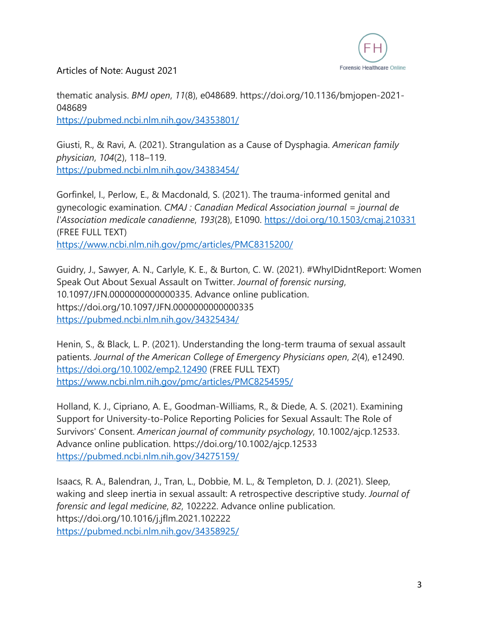

thematic analysis. *BMJ open*, *11*(8), e048689. https://doi.org/10.1136/bmjopen-2021- 048689

https://pubmed.ncbi.nlm.nih.gov/34353801/

Giusti, R., & Ravi, A. (2021). Strangulation as a Cause of Dysphagia. *American family physician*, *104*(2), 118–119. https://pubmed.ncbi.nlm.nih.gov/34383454/

Gorfinkel, I., Perlow, E., & Macdonald, S. (2021). The trauma-informed genital and gynecologic examination. *CMAJ : Canadian Medical Association journal = journal de l'Association medicale canadienne*, *193*(28), E1090. https://doi.org/10.1503/cmaj.210331 (FREE FULL TEXT) https://www.ncbi.nlm.nih.gov/pmc/articles/PMC8315200/

Guidry, J., Sawyer, A. N., Carlyle, K. E., & Burton, C. W. (2021). #WhyIDidntReport: Women Speak Out About Sexual Assault on Twitter. *Journal of forensic nursing*, 10.1097/JFN.0000000000000335. Advance online publication. https://doi.org/10.1097/JFN.0000000000000335 https://pubmed.ncbi.nlm.nih.gov/34325434/

Henin, S., & Black, L. P. (2021). Understanding the long-term trauma of sexual assault patients. *Journal of the American College of Emergency Physicians open*, *2*(4), e12490. https://doi.org/10.1002/emp2.12490 (FREE FULL TEXT) https://www.ncbi.nlm.nih.gov/pmc/articles/PMC8254595/

Holland, K. J., Cipriano, A. E., Goodman-Williams, R., & Diede, A. S. (2021). Examining Support for University-to-Police Reporting Policies for Sexual Assault: The Role of Survivors' Consent. *American journal of community psychology*, 10.1002/ajcp.12533. Advance online publication. https://doi.org/10.1002/ajcp.12533 https://pubmed.ncbi.nlm.nih.gov/34275159/

Isaacs, R. A., Balendran, J., Tran, L., Dobbie, M. L., & Templeton, D. J. (2021). Sleep, waking and sleep inertia in sexual assault: A retrospective descriptive study. *Journal of forensic and legal medicine*, *82*, 102222. Advance online publication. https://doi.org/10.1016/j.jflm.2021.102222 https://pubmed.ncbi.nlm.nih.gov/34358925/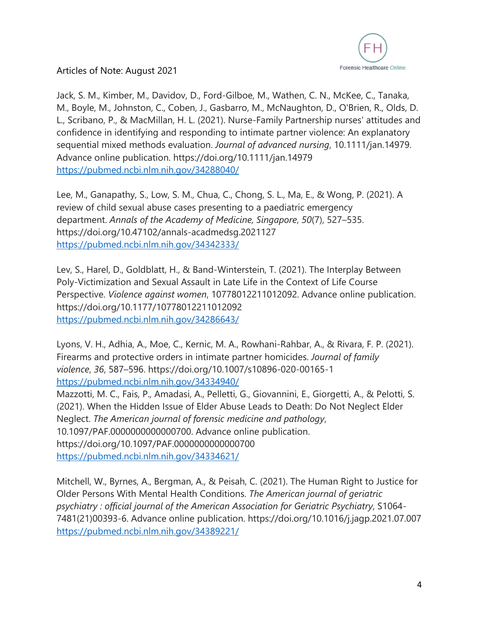

Jack, S. M., Kimber, M., Davidov, D., Ford-Gilboe, M., Wathen, C. N., McKee, C., Tanaka, M., Boyle, M., Johnston, C., Coben, J., Gasbarro, M., McNaughton, D., O'Brien, R., Olds, D. L., Scribano, P., & MacMillan, H. L. (2021). Nurse-Family Partnership nurses' attitudes and confidence in identifying and responding to intimate partner violence: An explanatory sequential mixed methods evaluation. *Journal of advanced nursing*, 10.1111/jan.14979. Advance online publication. https://doi.org/10.1111/jan.14979 https://pubmed.ncbi.nlm.nih.gov/34288040/

Lee, M., Ganapathy, S., Low, S. M., Chua, C., Chong, S. L., Ma, E., & Wong, P. (2021). A review of child sexual abuse cases presenting to a paediatric emergency department. *Annals of the Academy of Medicine, Singapore*, *50*(7), 527–535. https://doi.org/10.47102/annals-acadmedsg.2021127 https://pubmed.ncbi.nlm.nih.gov/34342333/

Lev, S., Harel, D., Goldblatt, H., & Band-Winterstein, T. (2021). The Interplay Between Poly-Victimization and Sexual Assault in Late Life in the Context of Life Course Perspective. *Violence against women*, 10778012211012092. Advance online publication. https://doi.org/10.1177/10778012211012092 https://pubmed.ncbi.nlm.nih.gov/34286643/

Lyons, V. H., Adhia, A., Moe, C., Kernic, M. A., Rowhani-Rahbar, A., & Rivara, F. P. (2021). Firearms and protective orders in intimate partner homicides. *Journal of family violence*, *36*, 587–596. https://doi.org/10.1007/s10896-020-00165-1 https://pubmed.ncbi.nlm.nih.gov/34334940/

Mazzotti, M. C., Fais, P., Amadasi, A., Pelletti, G., Giovannini, E., Giorgetti, A., & Pelotti, S. (2021). When the Hidden Issue of Elder Abuse Leads to Death: Do Not Neglect Elder Neglect. *The American journal of forensic medicine and pathology*, 10.1097/PAF.0000000000000700. Advance online publication. https://doi.org/10.1097/PAF.0000000000000700 https://pubmed.ncbi.nlm.nih.gov/34334621/

Mitchell, W., Byrnes, A., Bergman, A., & Peisah, C. (2021). The Human Right to Justice for Older Persons With Mental Health Conditions. *The American journal of geriatric psychiatry : official journal of the American Association for Geriatric Psychiatry*, S1064- 7481(21)00393-6. Advance online publication. https://doi.org/10.1016/j.jagp.2021.07.007 https://pubmed.ncbi.nlm.nih.gov/34389221/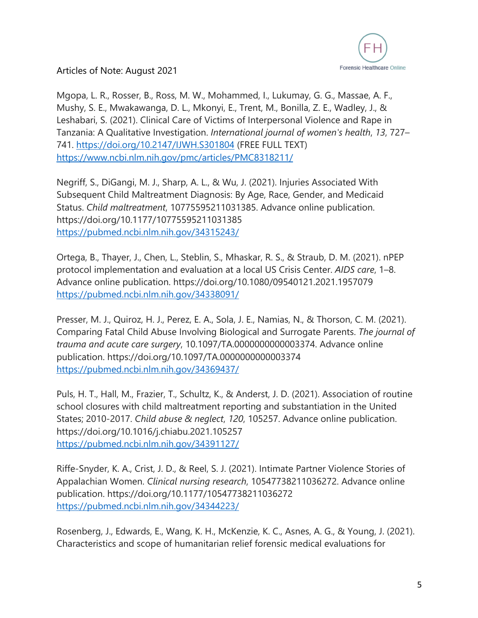

Mgopa, L. R., Rosser, B., Ross, M. W., Mohammed, I., Lukumay, G. G., Massae, A. F., Mushy, S. E., Mwakawanga, D. L., Mkonyi, E., Trent, M., Bonilla, Z. E., Wadley, J., & Leshabari, S. (2021). Clinical Care of Victims of Interpersonal Violence and Rape in Tanzania: A Qualitative Investigation. *International journal of women's health*, *13*, 727– 741. https://doi.org/10.2147/IJWH.S301804 (FREE FULL TEXT) https://www.ncbi.nlm.nih.gov/pmc/articles/PMC8318211/

Negriff, S., DiGangi, M. J., Sharp, A. L., & Wu, J. (2021). Injuries Associated With Subsequent Child Maltreatment Diagnosis: By Age, Race, Gender, and Medicaid Status. *Child maltreatment*, 10775595211031385. Advance online publication. https://doi.org/10.1177/10775595211031385 https://pubmed.ncbi.nlm.nih.gov/34315243/

Ortega, B., Thayer, J., Chen, L., Steblin, S., Mhaskar, R. S., & Straub, D. M. (2021). nPEP protocol implementation and evaluation at a local US Crisis Center. *AIDS care*, 1–8. Advance online publication. https://doi.org/10.1080/09540121.2021.1957079 https://pubmed.ncbi.nlm.nih.gov/34338091/

Presser, M. J., Quiroz, H. J., Perez, E. A., Sola, J. E., Namias, N., & Thorson, C. M. (2021). Comparing Fatal Child Abuse Involving Biological and Surrogate Parents. *The journal of trauma and acute care surgery*, 10.1097/TA.0000000000003374. Advance online publication. https://doi.org/10.1097/TA.0000000000003374 https://pubmed.ncbi.nlm.nih.gov/34369437/

Puls, H. T., Hall, M., Frazier, T., Schultz, K., & Anderst, J. D. (2021). Association of routine school closures with child maltreatment reporting and substantiation in the United States; 2010-2017. *Child abuse & neglect*, *120*, 105257. Advance online publication. https://doi.org/10.1016/j.chiabu.2021.105257 https://pubmed.ncbi.nlm.nih.gov/34391127/

Riffe-Snyder, K. A., Crist, J. D., & Reel, S. J. (2021). Intimate Partner Violence Stories of Appalachian Women. *Clinical nursing research*, 10547738211036272. Advance online publication. https://doi.org/10.1177/10547738211036272 https://pubmed.ncbi.nlm.nih.gov/34344223/

Rosenberg, J., Edwards, E., Wang, K. H., McKenzie, K. C., Asnes, A. G., & Young, J. (2021). Characteristics and scope of humanitarian relief forensic medical evaluations for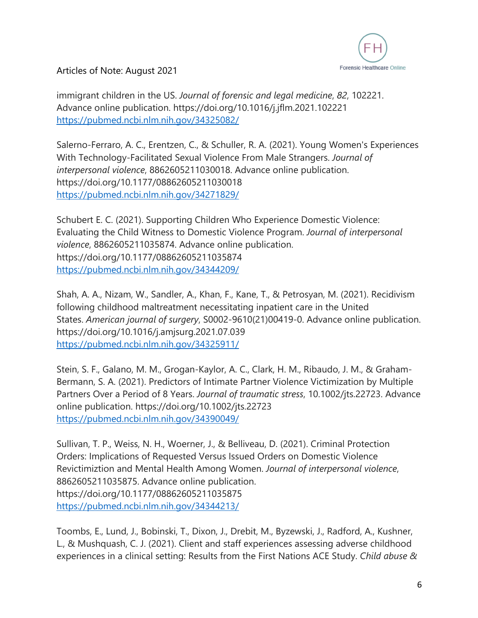

immigrant children in the US. *Journal of forensic and legal medicine*, *82*, 102221. Advance online publication. https://doi.org/10.1016/j.jflm.2021.102221 https://pubmed.ncbi.nlm.nih.gov/34325082/

Salerno-Ferraro, A. C., Erentzen, C., & Schuller, R. A. (2021). Young Women's Experiences With Technology-Facilitated Sexual Violence From Male Strangers. *Journal of interpersonal violence*, 8862605211030018. Advance online publication. https://doi.org/10.1177/08862605211030018 https://pubmed.ncbi.nlm.nih.gov/34271829/

Schubert E. C. (2021). Supporting Children Who Experience Domestic Violence: Evaluating the Child Witness to Domestic Violence Program. *Journal of interpersonal violence*, 8862605211035874. Advance online publication. https://doi.org/10.1177/08862605211035874 https://pubmed.ncbi.nlm.nih.gov/34344209/

Shah, A. A., Nizam, W., Sandler, A., Khan, F., Kane, T., & Petrosyan, M. (2021). Recidivism following childhood maltreatment necessitating inpatient care in the United States. *American journal of surgery*, S0002-9610(21)00419-0. Advance online publication. https://doi.org/10.1016/j.amjsurg.2021.07.039 https://pubmed.ncbi.nlm.nih.gov/34325911/

Stein, S. F., Galano, M. M., Grogan-Kaylor, A. C., Clark, H. M., Ribaudo, J. M., & Graham-Bermann, S. A. (2021). Predictors of Intimate Partner Violence Victimization by Multiple Partners Over a Period of 8 Years. *Journal of traumatic stress*, 10.1002/jts.22723. Advance online publication. https://doi.org/10.1002/jts.22723 https://pubmed.ncbi.nlm.nih.gov/34390049/

Sullivan, T. P., Weiss, N. H., Woerner, J., & Belliveau, D. (2021). Criminal Protection Orders: Implications of Requested Versus Issued Orders on Domestic Violence Revictimiztion and Mental Health Among Women. *Journal of interpersonal violence*, 8862605211035875. Advance online publication. https://doi.org/10.1177/08862605211035875 https://pubmed.ncbi.nlm.nih.gov/34344213/

Toombs, E., Lund, J., Bobinski, T., Dixon, J., Drebit, M., Byzewski, J., Radford, A., Kushner, L., & Mushquash, C. J. (2021). Client and staff experiences assessing adverse childhood experiences in a clinical setting: Results from the First Nations ACE Study. *Child abuse &*